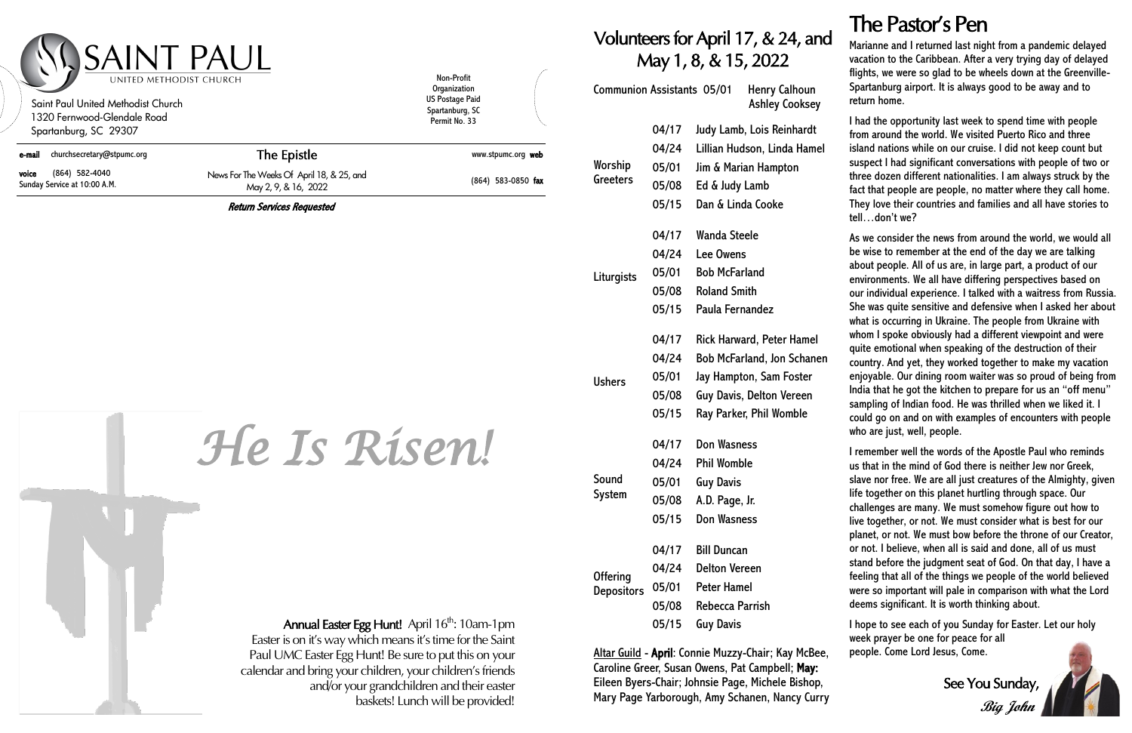### The Pastor's Pen

#### Volunteers for April 17, & 24, and May 1, 8, & 15, 2022

| <b>Communion Assistants 05/01</b>    |       | <b>Henry Calhoun</b><br><b>Ashley Cooksey</b> |
|--------------------------------------|-------|-----------------------------------------------|
| Worship<br>Greeters                  | 04/17 | Judy Lamb, Lois Reinhardt                     |
|                                      | 04/24 | Lillian Hudson, Linda Hamel                   |
|                                      | 05/01 | Jim & Marian Hampton                          |
|                                      | 05/08 | Ed & Judy Lamb                                |
|                                      | 05/15 | Dan & Linda Cooke                             |
|                                      | 04/17 | Wanda Steele                                  |
|                                      | 04/24 | <b>Lee Owens</b>                              |
| Liturgists                           | 05/01 | <b>Bob McFarland</b>                          |
|                                      | 05/08 | <b>Roland Smith</b>                           |
|                                      | 05/15 | Paula Fernandez                               |
|                                      | 04/17 | <b>Rick Harward, Peter Hamel</b>              |
|                                      | 04/24 | <b>Bob McFarland, Jon Schanen</b>             |
| <b>Ushers</b>                        | 05/01 | Jay Hampton, Sam Foster                       |
|                                      | 05/08 | <b>Guy Davis, Delton Vereen</b>               |
|                                      | 05/15 | Ray Parker, Phil Womble                       |
| Sound<br>System                      | 04/17 | <b>Don Wasness</b>                            |
|                                      | 04/24 | <b>Phil Womble</b>                            |
|                                      | 05/01 | <b>Guy Davis</b>                              |
|                                      | 05/08 | A.D. Page, Jr.                                |
|                                      | 05/15 | <b>Don Wasness</b>                            |
| <b>Offering</b><br><b>Depositors</b> | 04/17 | <b>Bill Duncan</b>                            |
|                                      | 04/24 | <b>Delton Vereen</b>                          |
|                                      | 05/01 | <b>Peter Hamel</b>                            |
|                                      | 05/08 | Rebecca Parrish                               |
|                                      | 05/15 | <b>Guy Davis</b>                              |

ltar Guild - **April**: Connie Muzzy-Chair; Kay McBee, aroline Greer, Susan Owens, Pat Campbell; May: Eileen Byers-Chair; Johnsie Page, Michele Bishop, Mary Page Yarborough, Amy Schanen, Nancy Curry Marianne and I returned last night from a pandemic delayed vacation to the Caribbean. After a very trying day of delayed flights, we were so glad to be wheels down at the Greenville-Spartanburg airport. It is always good to be away and to return home.

I had the opportunity last week to spend time with people from around the world. We visited Puerto Rico and three island nations while on our cruise. I did not keep count but suspect I had significant conversations with people of two or three dozen different nationalities. I am always struck by the fact that people are people, no matter where they call home. They love their countries and families and all have stories to tell…don't we?

As we consider the news from around the world, we would all be wise to remember at the end of the day we are talking about people. All of us are, in large part, a product of our environments. We all have differing perspectives based on our individual experience. I talked with a waitress from Russia. She was quite sensitive and defensive when I asked her about what is occurring in Ukraine. The people from Ukraine with whom I spoke obviously had a different viewpoint and were quite emotional when speaking of the destruction of their country. And yet, they worked together to make my vacation enjoyable. Our dining room waiter was so proud of being from India that he got the kitchen to prepare for us an "off menu" sampling of Indian food. He was thrilled when we liked it. I could go on and on with examples of encounters with people who are just, well, people.

| Saint Paul United Methodist Church<br>1320 Fernwood-Glendale Road<br>Spartanburg, SC 29307 | UNITED METHODIST CHURCH                                                                                                                                                                                                       | Non-Profit<br>Organization<br><b>US Postage Paid</b><br>Spartanburg, SC<br>Permit No. 33 |
|--------------------------------------------------------------------------------------------|-------------------------------------------------------------------------------------------------------------------------------------------------------------------------------------------------------------------------------|------------------------------------------------------------------------------------------|
| churchsecretary@stpumc.org<br>e-mail                                                       | The Epistle                                                                                                                                                                                                                   | www.stpumc.org web                                                                       |
| (864) 582-4040<br>voice<br>Sunday Service at 10:00 A.M.                                    | News For The Weeks Of April 18, & 25, and<br>May 2, 9, & 16, 2022                                                                                                                                                             | (864) 583-0850 fax                                                                       |
|                                                                                            | <b>Return Services Requested</b><br>He is Risen!                                                                                                                                                                              |                                                                                          |
|                                                                                            |                                                                                                                                                                                                                               |                                                                                          |
|                                                                                            | Annual Easter Egg Hunt! April 16 <sup>th</sup> : 10am-1pm                                                                                                                                                                     |                                                                                          |
|                                                                                            | Easter is on it's way which means it's time for the Saint<br>Paul UMC Easter Egg Hunt! Be sure to put this on your<br>calendar and bring your children, your children's friends<br>and/or your grandchildren and their easter | baskets! Lunch will be provided!                                                         |

I remember well the words of the Apostle Paul who reminds us that in the mind of God there is neither Jew nor Greek, slave nor free. We are all just creatures of the Almighty, given life together on this planet hurtling through space. Our challenges are many. We must somehow figure out how to live together, or not. We must consider what is best for our planet, or not. We must bow before the throne of our Creator, or not. I believe, when all is said and done, all of us must stand before the judgment seat of God. On that day, I have a feeling that all of the things we people of the world believed were so important will pale in comparison with what the Lord deems significant. It is worth thinking about.

I hope to see each of you Sunday for Easter. Let our holy week prayer be one for peace for all people. Come Lord Jesus, Come.